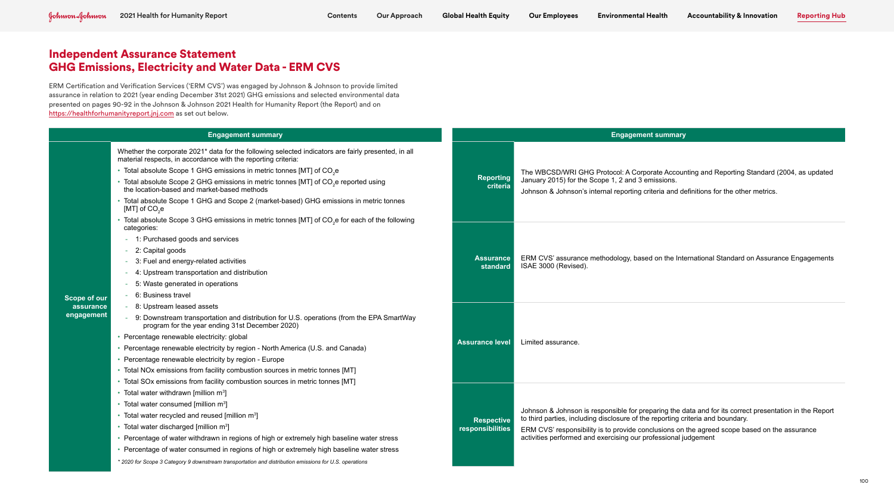ERM Certification and Verification Services ('ERM CVS') was engaged by Johnson & Johnson to provide limited assurance in relation to 2021 (year ending December 31st 2021) GHG emissions and selected environmental data presented on pages 90-92 in the Johnson & Johnson 2021 Health for Humanity Report (the Report) and on https://healthforhumanityreport.jnj.com as set out below.

| <b>Engagement summary</b>                      |                                                                                                                                                                                                                                                                                                                                                                                                                                                                                                                                                                                                                                                    | <b>Engagement summary</b>             |                                                                                                                                                                                                                                       |
|------------------------------------------------|----------------------------------------------------------------------------------------------------------------------------------------------------------------------------------------------------------------------------------------------------------------------------------------------------------------------------------------------------------------------------------------------------------------------------------------------------------------------------------------------------------------------------------------------------------------------------------------------------------------------------------------------------|---------------------------------------|---------------------------------------------------------------------------------------------------------------------------------------------------------------------------------------------------------------------------------------|
| <b>Scope of our</b><br>assurance<br>engagement | Whether the corporate 2021* data for the following selected indicators are fairly presented, in all<br>material respects, in accordance with the reporting criteria:<br>• Total absolute Scope 1 GHG emissions in metric tonnes [MT] of CO <sub>2</sub> e<br>* Total absolute Scope 2 GHG emissions in metric tonnes [MT] of CO <sub>2</sub> e reported using<br>the location-based and market-based methods<br>* Total absolute Scope 1 GHG and Scope 2 (market-based) GHG emissions in metric tonnes<br>[MT] of CO <sub>2</sub> e<br>* Total absolute Scope 3 GHG emissions in metric tonnes [MT] of CO <sub>2</sub> e for each of the following | <b>Reporting</b><br>criteria          | The WBCSD/WRI GHG Protocol: A Corporate Accour<br>January 2015) for the Scope 1, 2 and 3 emissions.<br>Johnson & Johnson's internal reporting criteria and de                                                                         |
|                                                | categories:<br>1: Purchased goods and services<br>2: Capital goods<br>3: Fuel and energy-related activities<br>4: Upstream transportation and distribution<br>5: Waste generated in operations<br>6: Business travel                                                                                                                                                                                                                                                                                                                                                                                                                               | <b>Assurance</b><br>standard          | ERM CVS' assurance methodology, based on the Inte<br>ISAE 3000 (Revised).                                                                                                                                                             |
|                                                | 8: Upstream leased assets<br>9: Downstream transportation and distribution for U.S. operations (from the EPA SmartWay<br>program for the year ending 31st December 2020)<br>• Percentage renewable electricity: global<br>• Percentage renewable electricity by region - North America (U.S. and Canada)<br>• Percentage renewable electricity by region - Europe<br>• Total NOx emissions from facility combustion sources in metric tonnes [MT]                                                                                                                                                                                                  | <b>Assurance level</b>                | Limited assurance.                                                                                                                                                                                                                    |
|                                                | • Total SOx emissions from facility combustion sources in metric tonnes [MT]<br>• Total water withdrawn [million m <sup>3</sup> ]<br>• Total water consumed [million m <sup>3</sup> ]<br>• Total water recycled and reused [million m <sup>3</sup> ]<br>• Total water discharged [million m <sup>3</sup> ]<br>• Percentage of water withdrawn in regions of high or extremely high baseline water stress<br>• Percentage of water consumed in regions of high or extremely high baseline water stress<br>* 2020 for Scope 3 Category 9 downstream transportation and distribution emissions for U.S. operations                                    | <b>Respective</b><br>responsibilities | Johnson & Johnson is responsible for preparing the d<br>to third parties, including disclosure of the reporting cr<br>ERM CVS' responsibility is to provide conclusions on<br>activities performed and exercising our professional ju |

Corporate Accounting and Reporting Standard (2004, as updated

ting criteria and definitions for the other metrics.

based on the International Standard on Assurance Engagements

or preparing the data and for its correct presentation in the Report of the reporting criteria and boundary.

le conclusions on the agreed scope based on the assurance our professional judgement

# Independent Assurance Statement GHG Emissions, Electricity and Water Data - ERM CVS